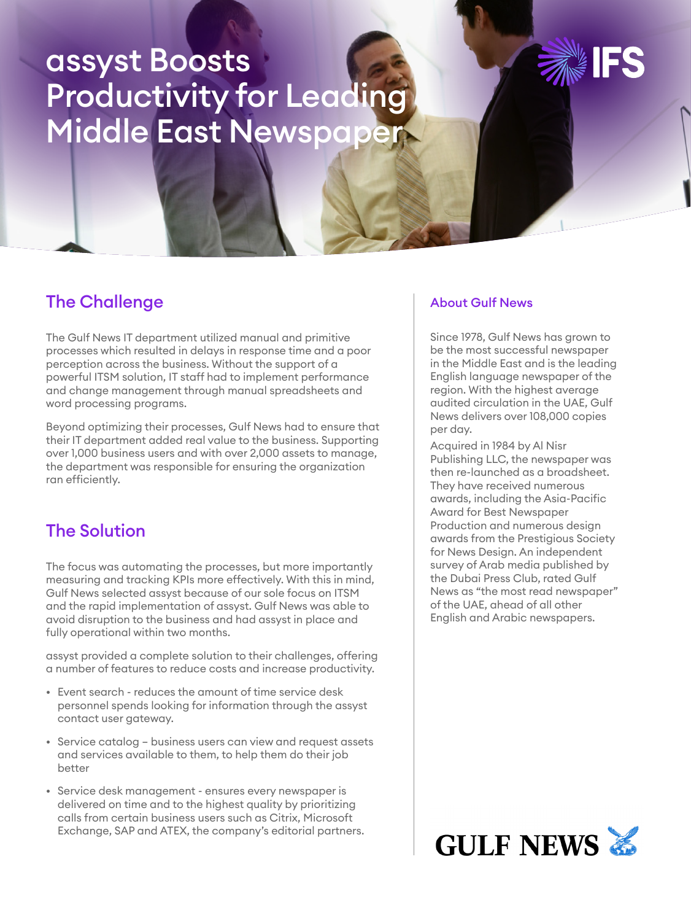# assyst Boosts Productivity for Leading Middle East Newspape

# The Challenge

The Gulf News IT department utilized manual and primitive processes which resulted in delays in response time and a poor perception across the business. Without the support of a powerful ITSM solution, IT staff had to implement performance and change management through manual spreadsheets and word processing programs.

Beyond optimizing their processes, Gulf News had to ensure that their IT department added real value to the business. Supporting over 1,000 business users and with over 2,000 assets to manage, the department was responsible for ensuring the organization ran efficiently.

## The Solution

The focus was automating the processes, but more importantly measuring and tracking KPIs more effectively. With this in mind, Gulf News selected assyst because of our sole focus on ITSM and the rapid implementation of assyst. Gulf News was able to avoid disruption to the business and had assyst in place and fully operational within two months.

assyst provided a complete solution to their challenges, offering a number of features to reduce costs and increase productivity.

- Event search reduces the amount of time service desk personnel spends looking for information through the assyst contact user gateway.
- Service catalog business users can view and request assets and services available to them, to help them do their job better
- Service desk management ensures every newspaper is delivered on time and to the highest quality by prioritizing calls from certain business users such as Citrix, Microsoft Exchange, SAP and ATEX, the company's editorial partners.

#### About Gulf News

Since 1978, Gulf News has grown to be the most successful newspaper in the Middle East and is the leading English language newspaper of the region. With the highest average audited circulation in the UAE, Gulf News delivers over 108,000 copies per day.

Acquired in 1984 by Al Nisr Publishing LLC, the newspaper was then re-launched as a broadsheet. They have received numerous awards, including the Asia-Pacific Award for Best Newspaper Production and numerous design awards from the Prestigious Society for News Design. An independent survey of Arab media published by the Dubai Press Club, rated Gulf News as "the most read newspaper" of the UAE, ahead of all other English and Arabic newspapers.